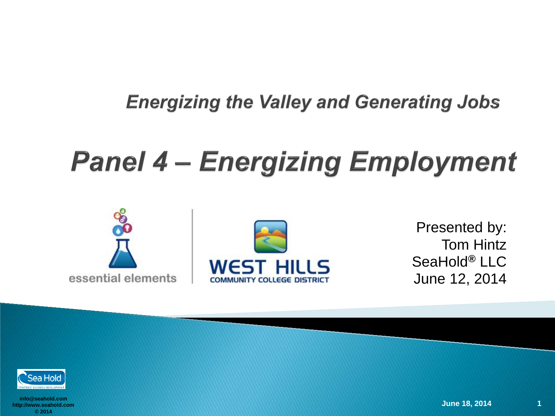# **Panel 4 – Energizing Employment**





Presented by: Tom Hintz SeaHold *®* LLC June 12, 2014

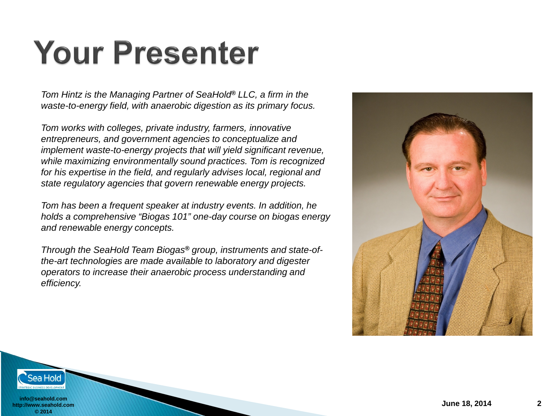# **Your Presenter**

*Tom Hintz is the Managing Partner of SeaHold® LLC, a firm in the waste-to-energy field, with anaerobic digestion as its primary focus.* 

*Tom works with colleges, private industry, farmers, innovative entrepreneurs, and government agencies to conceptualize and implement waste-to-energy projects that will yield significant revenue, while maximizing environmentally sound practices. Tom is recognized for his expertise in the field, and regularly advises local, regional and state regulatory agencies that govern renewable energy projects.* 

*Tom has been a frequent speaker at industry events. In addition, he holds a comprehensive "Biogas 101" one-day course on biogas energy and renewable energy concepts.*

*Through the SeaHold Team Biogas® group, instruments and state-ofthe-art technologies are made available to laboratory and digester operators to increase their anaerobic process understanding and efficiency.* 



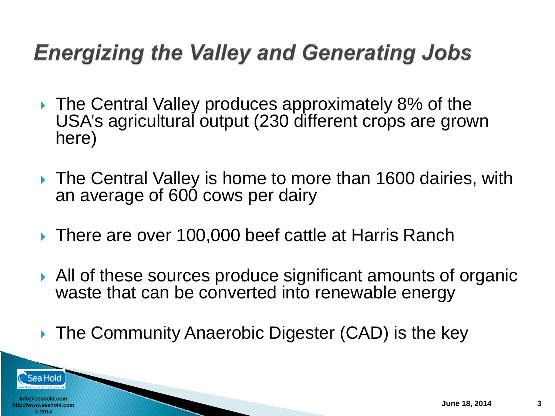- ▶ The Central Valley produces approximately 8% of the USA's agricultural output (230 different crops are grown here)
- ▶ The Central Valley is home to more than 1600 dairies, with an average of 600 cows per dairy
- ▶ There are over 100,000 beef cattle at Harris Ranch
- All of these sources produce significant amounts of organic waste that can be converted into renewable energy
- ▶ The Community Anaerobic Digester (CAD) is the key

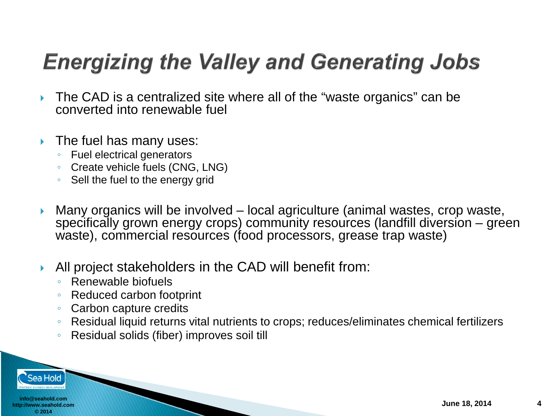- ▶ The CAD is a centralized site where all of the "waste organics" can be converted into renewable fuel
- $\triangleright$  The fuel has many uses:
	- Fuel electrical generators
	- Create vehicle fuels (CNG, LNG)
	- Sell the fuel to the energy grid
- Many organics will be involved local agriculture (animal wastes, crop waste, specifically grown energy crops) community resources (landfill diversion – green waste), commercial resources (food processors, grease trap waste)
- All project stakeholders in the CAD will benefit from:
	- Renewable biofuels
	- Reduced carbon footprint
	- Carbon capture credits
	- Residual liquid returns vital nutrients to crops; reduces/eliminates chemical fertilizers
	- Residual solids (fiber) improves soil till

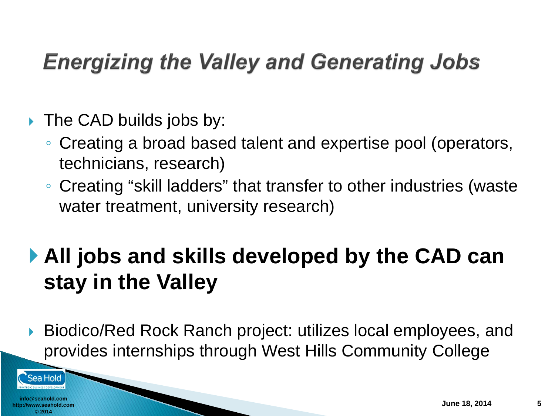- $\triangleright$  The CAD builds jobs by:
	- Creating a broad based talent and expertise pool (operators, technicians, research)
	- Creating "skill ladders" that transfer to other industries (waste water treatment, university research)

## **All jobs and skills developed by the CAD can stay in the Valley**

 Biodico/Red Rock Ranch project: utilizes local employees, and provides internships through West Hills Community College

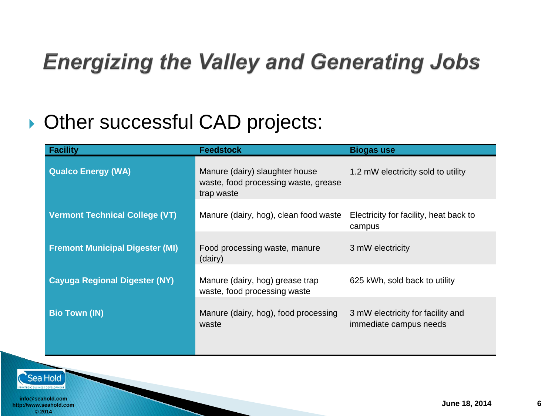#### **Other successful CAD projects:**

| <b>Facility</b>                        | <b>Feedstock</b>                                                                     | <b>Biogas use</b>                                           |
|----------------------------------------|--------------------------------------------------------------------------------------|-------------------------------------------------------------|
| <b>Qualco Energy (WA)</b>              | Manure (dairy) slaughter house<br>waste, food processing waste, grease<br>trap waste | 1.2 mW electricity sold to utility                          |
| <b>Vermont Technical College (VT)</b>  | Manure (dairy, hog), clean food waste                                                | Electricity for facility, heat back to<br>campus            |
| <b>Fremont Municipal Digester (MI)</b> | Food processing waste, manure<br>(dairy)                                             | 3 mW electricity                                            |
| <b>Cayuga Regional Digester (NY)</b>   | Manure (dairy, hog) grease trap<br>waste, food processing waste                      | 625 kWh, sold back to utility                               |
| <b>Bio Town (IN)</b>                   | Manure (dairy, hog), food processing<br>waste                                        | 3 mW electricity for facility and<br>immediate campus needs |
|                                        |                                                                                      |                                                             |